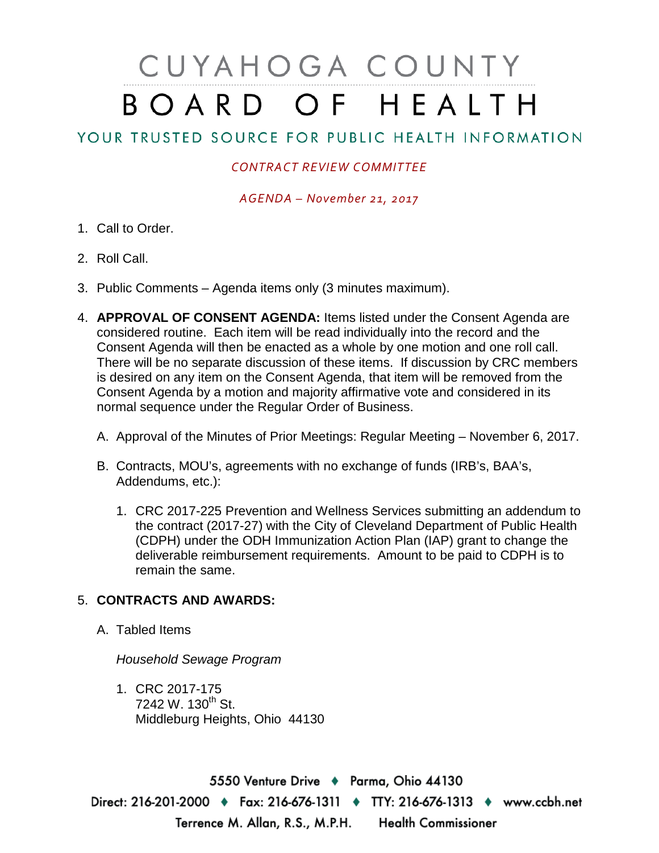## CUYAHOGA COUNTY BOARD OF HEALTH

## YOUR TRUSTED SOURCE FOR PUBLIC HEALTH INFORMATION

## *CONTRACT REVIEW COMMITTEE*

*AGENDA – November 21, 2017*

- 1. Call to Order.
- 2. Roll Call.
- 3. Public Comments Agenda items only (3 minutes maximum).
- 4. **APPROVAL OF CONSENT AGENDA:** Items listed under the Consent Agenda are considered routine. Each item will be read individually into the record and the Consent Agenda will then be enacted as a whole by one motion and one roll call. There will be no separate discussion of these items. If discussion by CRC members is desired on any item on the Consent Agenda, that item will be removed from the Consent Agenda by a motion and majority affirmative vote and considered in its normal sequence under the Regular Order of Business.
	- A. Approval of the Minutes of Prior Meetings: Regular Meeting November 6, 2017.
	- B. Contracts, MOU's, agreements with no exchange of funds (IRB's, BAA's, Addendums, etc.):
		- 1. CRC 2017-225 Prevention and Wellness Services submitting an addendum to the contract (2017-27) with the City of Cleveland Department of Public Health (CDPH) under the ODH Immunization Action Plan (IAP) grant to change the deliverable reimbursement requirements. Amount to be paid to CDPH is to remain the same.

## 5. **CONTRACTS AND AWARDS:**

A. Tabled Items

*Household Sewage Program*

1. CRC 2017-175  $7242 \text{ W}$ . 130<sup>th</sup> St. Middleburg Heights, Ohio 44130

5550 Venture Drive + Parma, Ohio 44130 Direct: 216-201-2000 • Fax: 216-676-1311 • TTY: 216-676-1313 • www.ccbh.net Terrence M. Allan, R.S., M.P.H. Health Commissioner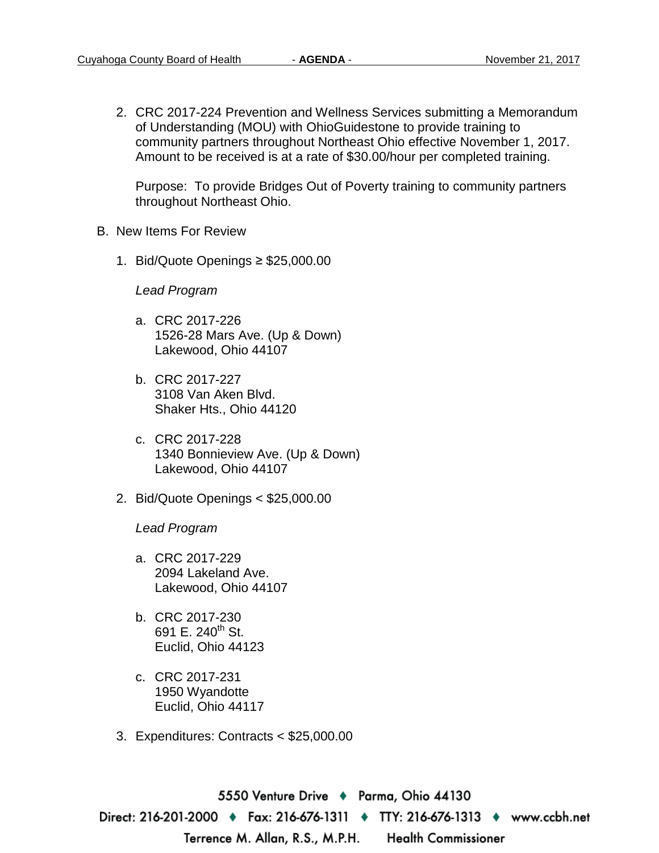2. CRC 2017-224 Prevention and Wellness Services submitting a Memorandum of Understanding (MOU) with OhioGuidestone to provide training to community partners throughout Northeast Ohio effective November 1, 2017. Amount to be received is at a rate of \$30.00/hour per completed training.

Purpose: To provide Bridges Out of Poverty training to community partners throughout Northeast Ohio.

- B. New Items For Review
	- 1. Bid/Quote Openings ≥ \$25,000.00

*Lead Program* 

- a. CRC 2017-226 1526-28 Mars Ave. (Up & Down) Lakewood, Ohio 44107
- b. CRC 2017-227 3108 Van Aken Blvd. Shaker Hts., Ohio 44120
- c. CRC 2017-228 1340 Bonnieview Ave. (Up & Down) Lakewood, Ohio 44107
- 2. Bid/Quote Openings < \$25,000.00

*Lead Program* 

- a. CRC 2017-229 2094 Lakeland Ave. Lakewood, Ohio 44107
- b. CRC 2017-230 691 E.  $240^{th}$  St. Euclid, Ohio 44123
- c. CRC 2017-231 1950 Wyandotte Euclid, Ohio 44117
- 3. Expenditures: Contracts < \$25,000.00

5550 Venture Drive ♦ Parma, Ohio 44130 Direct: 216-201-2000 ♦ Fax: 216-676-1311 ♦ TTY: 216-676-1313 ♦ www.ccbh.net Terrence M. Allan, R.S., M.P.H. **Health Commissioner**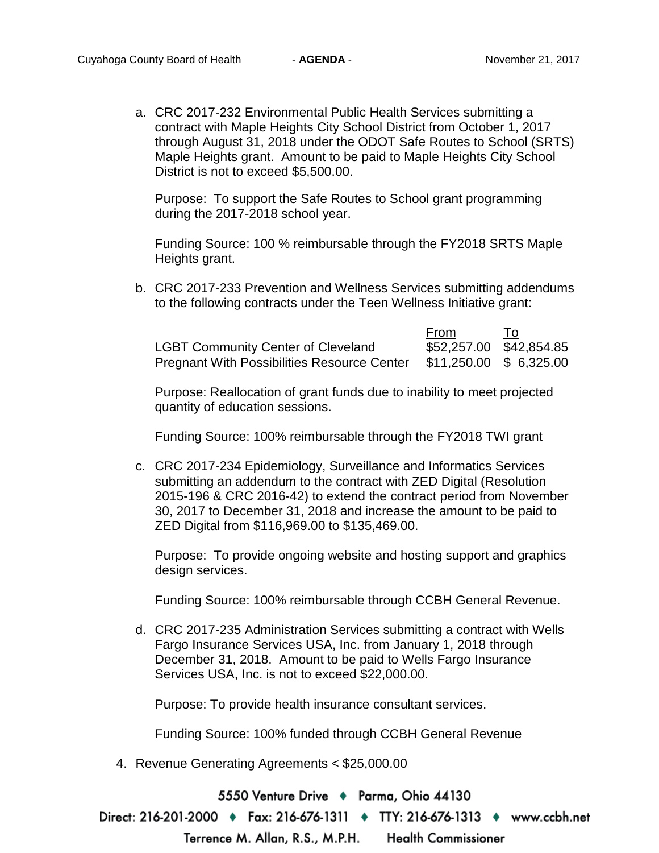a. CRC 2017-232 Environmental Public Health Services submitting a contract with Maple Heights City School District from October 1, 2017 through August 31, 2018 under the ODOT Safe Routes to School (SRTS) Maple Heights grant. Amount to be paid to Maple Heights City School District is not to exceed \$5,500.00.

Purpose: To support the Safe Routes to School grant programming during the 2017-2018 school year.

Funding Source: 100 % reimbursable through the FY2018 SRTS Maple Heights grant.

b. CRC 2017-233 Prevention and Wellness Services submitting addendums to the following contracts under the Teen Wellness Initiative grant:

|                                                    | From                    | Т٥ |
|----------------------------------------------------|-------------------------|----|
| <b>LGBT Community Center of Cleveland</b>          | \$52,257.00 \$42,854.85 |    |
| <b>Pregnant With Possibilities Resource Center</b> | \$11,250.00 \$ 6,325.00 |    |

Purpose: Reallocation of grant funds due to inability to meet projected quantity of education sessions.

Funding Source: 100% reimbursable through the FY2018 TWI grant

c. CRC 2017-234 Epidemiology, Surveillance and Informatics Services submitting an addendum to the contract with ZED Digital (Resolution 2015-196 & CRC 2016-42) to extend the contract period from November 30, 2017 to December 31, 2018 and increase the amount to be paid to ZED Digital from \$116,969.00 to \$135,469.00.

Purpose: To provide ongoing website and hosting support and graphics design services.

Funding Source: 100% reimbursable through CCBH General Revenue.

d. CRC 2017-235 Administration Services submitting a contract with Wells Fargo Insurance Services USA, Inc. from January 1, 2018 through December 31, 2018. Amount to be paid to Wells Fargo Insurance Services USA, Inc. is not to exceed \$22,000.00.

Purpose: To provide health insurance consultant services.

Funding Source: 100% funded through CCBH General Revenue

4. Revenue Generating Agreements < \$25,000.00

5550 Venture Drive + Parma, Ohio 44130

Direct: 216-201-2000 ♦ Fax: 216-676-1311 ♦ TTY: 216-676-1313 ♦ www.ccbh.net

Terrence M. Allan, R.S., M.P.H. **Health Commissioner**